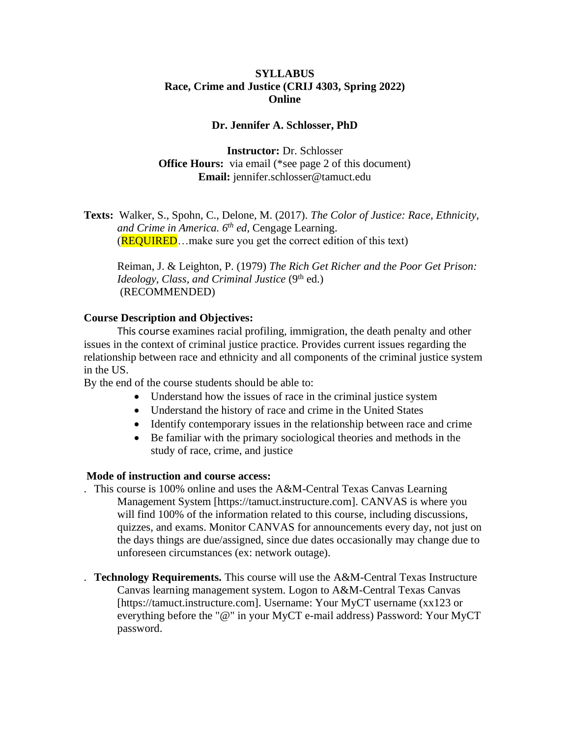### **SYLLABUS Race, Crime and Justice (CRIJ 4303, Spring 2022) Online**

### **Dr. Jennifer A. Schlosser, PhD**

**Instructor:** Dr. Schlosser **Office Hours:** via email (\*see page 2 of this document) **Email:** jennifer.schlosser@tamuct.edu

**Texts:** Walker, S., Spohn, C., Delone, M. (2017). *The Color of Justice: Race, Ethnicity, and Crime in America. 6 th ed,* Cengage Learning. (**REQUIRED**...make sure you get the correct edition of this text)

Reiman, J. & Leighton, P. (1979) *The Rich Get Richer and the Poor Get Prison: Ideology, Class, and Criminal Justice* (9<sup>th</sup> ed.) (RECOMMENDED)

### **Course Description and Objectives:**

This course examines racial profiling, immigration, the death penalty and other issues in the context of criminal justice practice. Provides current issues regarding the relationship between race and ethnicity and all components of the criminal justice system in the US.

By the end of the course students should be able to:

- Understand how the issues of race in the criminal justice system
- Understand the history of race and crime in the United States
- Identify contemporary issues in the relationship between race and crime
- Be familiar with the primary sociological theories and methods in the study of race, crime, and justice

### **Mode of instruction and course access:**

- . This course is 100% online and uses the A&M-Central Texas Canvas Learning Management System [https://tamuct.instructure.com]. CANVAS is where you will find 100% of the information related to this course, including discussions, quizzes, and exams. Monitor CANVAS for announcements every day, not just on the days things are due/assigned, since due dates occasionally may change due to unforeseen circumstances (ex: network outage).
- . **Technology Requirements.** This course will use the A&M-Central Texas Instructure Canvas learning management system. Logon to A&M-Central Texas Canvas [https://tamuct.instructure.com]. Username: Your MyCT username (xx123 or everything before the "@" in your MyCT e-mail address) Password: Your MyCT password.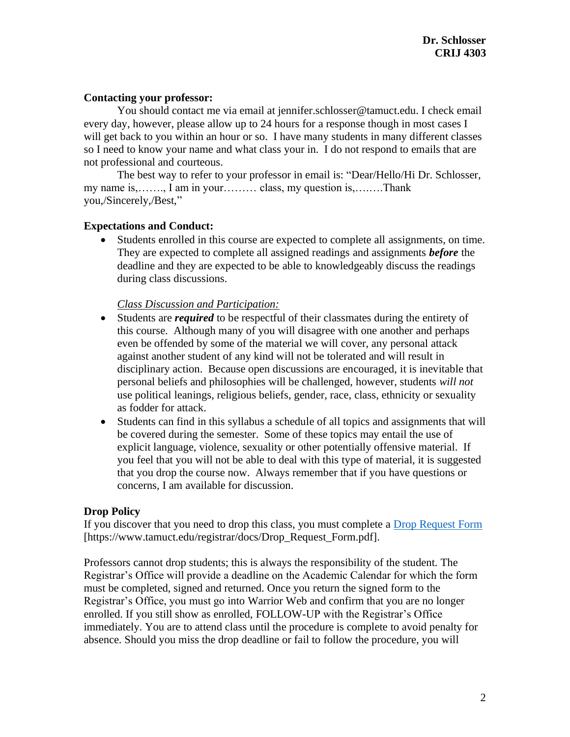### **Contacting your professor:**

You should contact me via email at jennifer.schlosser@tamuct.edu. I check email every day, however, please allow up to 24 hours for a response though in most cases I will get back to you within an hour or so. I have many students in many different classes so I need to know your name and what class your in. I do not respond to emails that are not professional and courteous.

The best way to refer to your professor in email is: "Dear/Hello/Hi Dr. Schlosser, my name is,……., I am in your……… class, my question is,….….Thank you,/Sincerely,/Best,"

### **Expectations and Conduct:**

• Students enrolled in this course are expected to complete all assignments, on time. They are expected to complete all assigned readings and assignments *before* the deadline and they are expected to be able to knowledgeably discuss the readings during class discussions.

### *Class Discussion and Participation:*

- Students are *required* to be respectful of their classmates during the entirety of this course. Although many of you will disagree with one another and perhaps even be offended by some of the material we will cover, any personal attack against another student of any kind will not be tolerated and will result in disciplinary action. Because open discussions are encouraged, it is inevitable that personal beliefs and philosophies will be challenged, however, students *will not* use political leanings, religious beliefs, gender, race, class, ethnicity or sexuality as fodder for attack.
- Students can find in this syllabus a schedule of all topics and assignments that will be covered during the semester. Some of these topics may entail the use of explicit language, violence, sexuality or other potentially offensive material. If you feel that you will not be able to deal with this type of material, it is suggested that you drop the course now. Always remember that if you have questions or concerns, I am available for discussion.

### **Drop Policy**

If you discover that you need to drop this class, you must complete a [Drop Request Form](https://www.tamuct.edu/registrar/docs/Drop_Request_Form.pdf) [https://www.tamuct.edu/registrar/docs/Drop\_Request\_Form.pdf].

Professors cannot drop students; this is always the responsibility of the student. The Registrar's Office will provide a deadline on the Academic Calendar for which the form must be completed, signed and returned. Once you return the signed form to the Registrar's Office, you must go into Warrior Web and confirm that you are no longer enrolled. If you still show as enrolled, FOLLOW-UP with the Registrar's Office immediately. You are to attend class until the procedure is complete to avoid penalty for absence. Should you miss the drop deadline or fail to follow the procedure, you will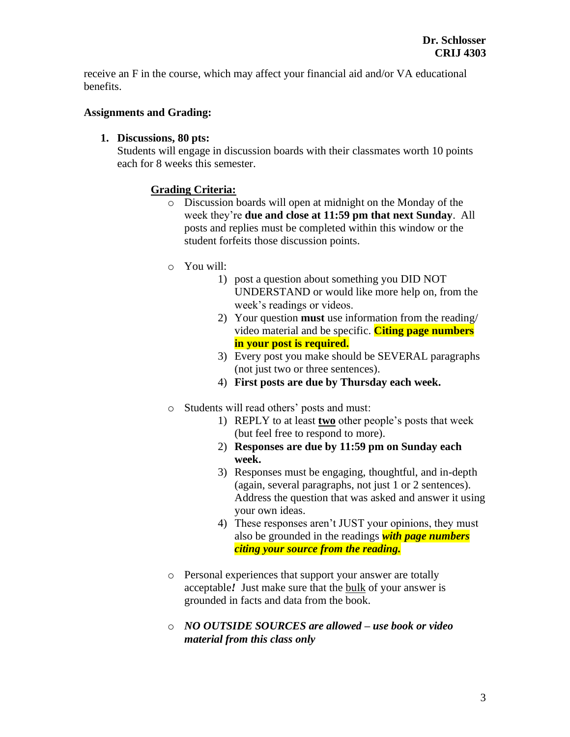receive an F in the course, which may affect your financial aid and/or VA educational benefits.

### **Assignments and Grading:**

### **1. Discussions, 80 pts:**

Students will engage in discussion boards with their classmates worth 10 points each for 8 weeks this semester.

### **Grading Criteria:**

- o Discussion boards will open at midnight on the Monday of the week they're **due and close at 11:59 pm that next Sunday**. All posts and replies must be completed within this window or the student forfeits those discussion points.
- o You will:
	- 1) post a question about something you DID NOT UNDERSTAND or would like more help on, from the week's readings or videos.
	- 2) Your question **must** use information from the reading/ video material and be specific. **Citing page numbers in your post is required.**
	- 3) Every post you make should be SEVERAL paragraphs (not just two or three sentences).
	- 4) **First posts are due by Thursday each week.**
- o Students will read others' posts and must:
	- 1) REPLY to at least **two** other people's posts that week (but feel free to respond to more).
	- 2) **Responses are due by 11:59 pm on Sunday each week.**
	- 3) Responses must be engaging, thoughtful, and in-depth (again, several paragraphs, not just 1 or 2 sentences). Address the question that was asked and answer it using your own ideas.
	- 4) These responses aren't JUST your opinions, they must also be grounded in the readings *with page numbers citing your source from the reading.*
- o Personal experiences that support your answer are totally acceptable*!* Just make sure that the bulk of your answer is grounded in facts and data from the book.
- o *NO OUTSIDE SOURCES are allowed – use book or video material from this class only*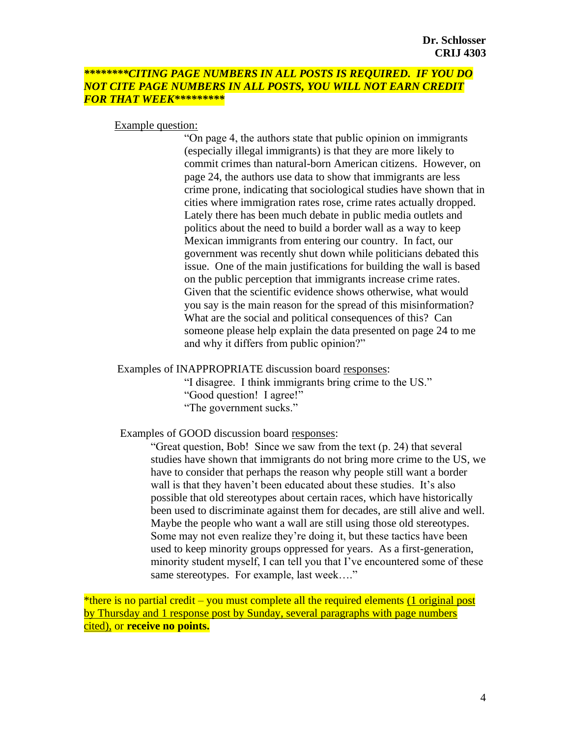### *\*\*\*\*\*\*\*\*CITING PAGE NUMBERS IN ALL POSTS IS REQUIRED. IF YOU DO NOT CITE PAGE NUMBERS IN ALL POSTS, YOU WILL NOT EARN CREDIT FOR THAT WEEK\*\*\*\*\*\*\*\*\**

#### Example question:

"On page 4, the authors state that public opinion on immigrants (especially illegal immigrants) is that they are more likely to commit crimes than natural-born American citizens. However, on page 24, the authors use data to show that immigrants are less crime prone, indicating that sociological studies have shown that in cities where immigration rates rose, crime rates actually dropped. Lately there has been much debate in public media outlets and politics about the need to build a border wall as a way to keep Mexican immigrants from entering our country. In fact, our government was recently shut down while politicians debated this issue. One of the main justifications for building the wall is based on the public perception that immigrants increase crime rates. Given that the scientific evidence shows otherwise, what would you say is the main reason for the spread of this misinformation? What are the social and political consequences of this? Can someone please help explain the data presented on page 24 to me and why it differs from public opinion?"

Examples of INAPPROPRIATE discussion board responses:

"I disagree. I think immigrants bring crime to the US." "Good question! I agree!" "The government sucks."

Examples of GOOD discussion board responses:

"Great question, Bob! Since we saw from the text (p. 24) that several studies have shown that immigrants do not bring more crime to the US, we have to consider that perhaps the reason why people still want a border wall is that they haven't been educated about these studies. It's also possible that old stereotypes about certain races, which have historically been used to discriminate against them for decades, are still alive and well. Maybe the people who want a wall are still using those old stereotypes. Some may not even realize they're doing it, but these tactics have been used to keep minority groups oppressed for years. As a first-generation, minority student myself, I can tell you that I've encountered some of these same stereotypes. For example, last week...."

\*there is no partial credit – you must complete all the required elements (1 original post by Thursday and 1 response post by Sunday, several paragraphs with page numbers cited), or **receive no points.**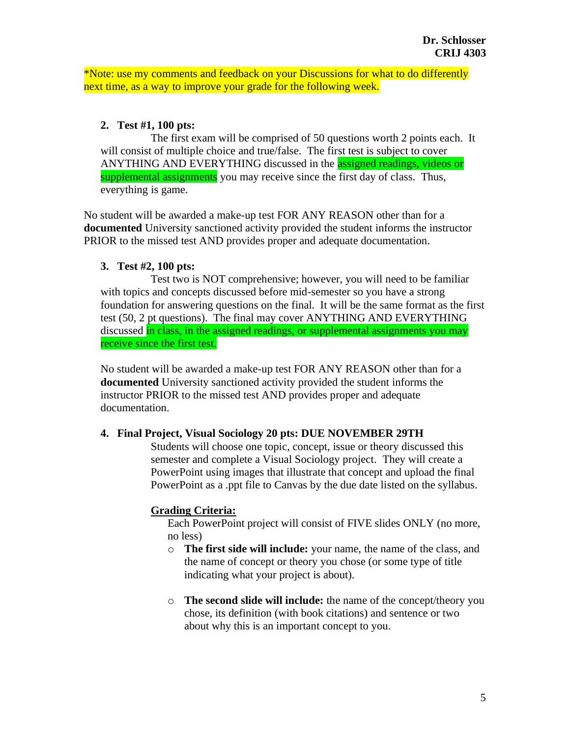\*Note: use my comments and feedback on your Discussions for what to do differently next time, as a way to improve your grade for the following week.

### **2. Test #1, 100 pts:**

The first exam will be comprised of 50 questions worth 2 points each. It will consist of multiple choice and true/false. The first test is subject to cover ANYTHING AND EVERYTHING discussed in the **assigned readings**, videos or supplemental assignments you may receive since the first day of class. Thus, everything is game.

No student will be awarded a make-up test FOR ANY REASON other than for a **documented** University sanctioned activity provided the student informs the instructor PRIOR to the missed test AND provides proper and adequate documentation.

### **3. Test #2, 100 pts:**

Test two is NOT comprehensive; however, you will need to be familiar with topics and concepts discussed before mid-semester so you have a strong foundation for answering questions on the final. It will be the same format as the first test (50, 2 pt questions). The final may cover ANYTHING AND EVERYTHING discussed in class, in the assigned readings, or supplemental assignments you may receive since the first test.

No student will be awarded a make-up test FOR ANY REASON other than for a **documented** University sanctioned activity provided the student informs the instructor PRIOR to the missed test AND provides proper and adequate documentation.

### **4. Final Project, Visual Sociology 20 pts: DUE NOVEMBER 29TH**

Students will choose one topic, concept, issue or theory discussed this semester and complete a Visual Sociology project. They will create a PowerPoint using images that illustrate that concept and upload the final PowerPoint as a .ppt file to Canvas by the due date listed on the syllabus.

### **Grading Criteria:**

Each PowerPoint project will consist of FIVE slides ONLY (no more, no less)

- o **The first side will include:** your name, the name of the class, and the name of concept or theory you chose (or some type of title indicating what your project is about).
- o **The second slide will include:** the name of the concept/theory you chose, its definition (with book citations) and sentence or two about why this is an important concept to you.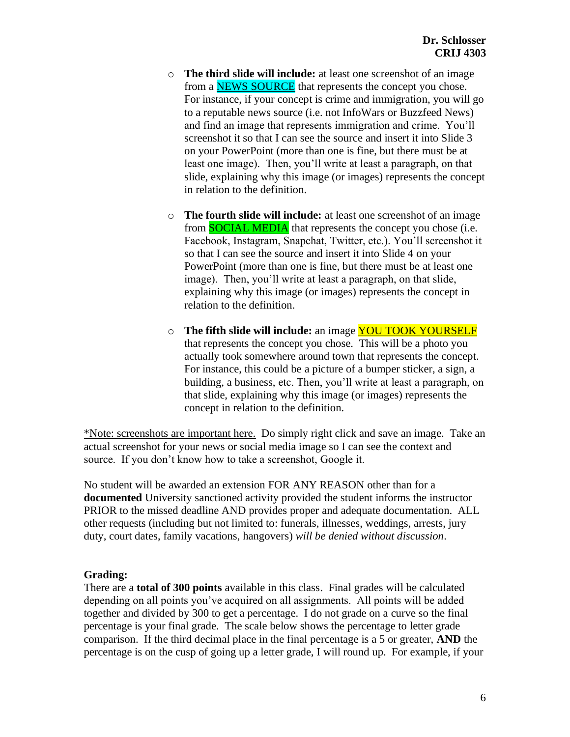- o **The third slide will include:** at least one screenshot of an image from a **NEWS SOURCE** that represents the concept you chose. For instance, if your concept is crime and immigration, you will go to a reputable news source (i.e. not InfoWars or Buzzfeed News) and find an image that represents immigration and crime. You'll screenshot it so that I can see the source and insert it into Slide 3 on your PowerPoint (more than one is fine, but there must be at least one image). Then, you'll write at least a paragraph, on that slide, explaining why this image (or images) represents the concept in relation to the definition.
- o **The fourth slide will include:** at least one screenshot of an image from **SOCIAL MEDIA** that represents the concept you chose (i.e. Facebook, Instagram, Snapchat, Twitter, etc.). You'll screenshot it so that I can see the source and insert it into Slide 4 on your PowerPoint (more than one is fine, but there must be at least one image). Then, you'll write at least a paragraph, on that slide, explaining why this image (or images) represents the concept in relation to the definition.
- o **The fifth slide will include:** an image YOU TOOK YOURSELF that represents the concept you chose. This will be a photo you actually took somewhere around town that represents the concept. For instance, this could be a picture of a bumper sticker, a sign, a building, a business, etc. Then, you'll write at least a paragraph, on that slide, explaining why this image (or images) represents the concept in relation to the definition.

\*Note: screenshots are important here. Do simply right click and save an image. Take an actual screenshot for your news or social media image so I can see the context and source. If you don't know how to take a screenshot, Google it.

No student will be awarded an extension FOR ANY REASON other than for a **documented** University sanctioned activity provided the student informs the instructor PRIOR to the missed deadline AND provides proper and adequate documentation. ALL other requests (including but not limited to: funerals, illnesses, weddings, arrests, jury duty, court dates, family vacations, hangovers) *will be denied without discussion*.

### **Grading:**

There are a **total of 300 points** available in this class. Final grades will be calculated depending on all points you've acquired on all assignments. All points will be added together and divided by 300 to get a percentage. I do not grade on a curve so the final percentage is your final grade. The scale below shows the percentage to letter grade comparison. If the third decimal place in the final percentage is a 5 or greater, **AND** the percentage is on the cusp of going up a letter grade, I will round up. For example, if your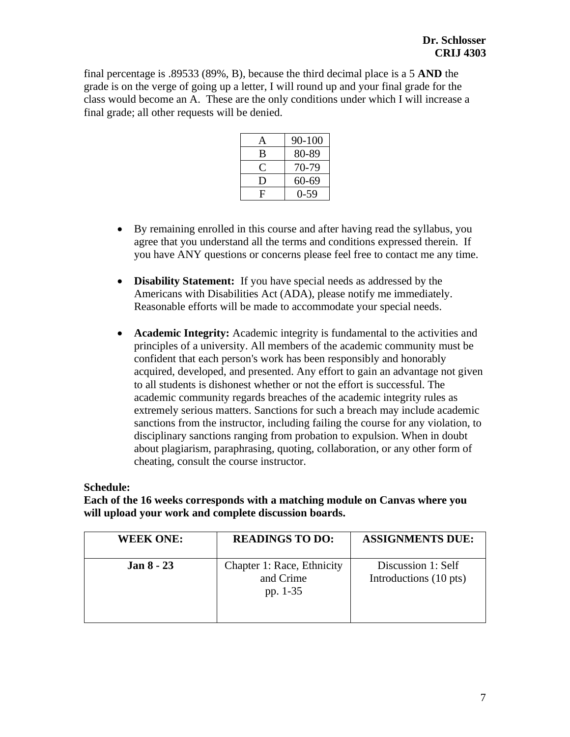final percentage is .89533 (89%, B), because the third decimal place is a 5 **AND** the grade is on the verge of going up a letter, I will round up and your final grade for the class would become an A. These are the only conditions under which I will increase a final grade; all other requests will be denied.

| $\mathbf{A}$ | 90-100   |
|--------------|----------|
| B            | 80-89    |
|              | 70-79    |
| O            | 60-69    |
| F            | $0 - 59$ |

- By remaining enrolled in this course and after having read the syllabus, you agree that you understand all the terms and conditions expressed therein. If you have ANY questions or concerns please feel free to contact me any time.
- **Disability Statement:** If you have special needs as addressed by the Americans with Disabilities Act (ADA), please notify me immediately. Reasonable efforts will be made to accommodate your special needs.
- **Academic Integrity:** Academic integrity is fundamental to the activities and principles of a university. All members of the academic community must be confident that each person's work has been responsibly and honorably acquired, developed, and presented. Any effort to gain an advantage not given to all students is dishonest whether or not the effort is successful. The academic community regards breaches of the academic integrity rules as extremely serious matters. Sanctions for such a breach may include academic sanctions from the instructor, including failing the course for any violation, to disciplinary sanctions ranging from probation to expulsion. When in doubt about plagiarism, paraphrasing, quoting, collaboration, or any other form of cheating, consult the course instructor.

### **Schedule:**

**Each of the 16 weeks corresponds with a matching module on Canvas where you will upload your work and complete discussion boards.**

| <b>WEEK ONE:</b>  | <b>READINGS TO DO:</b>                              | <b>ASSIGNMENTS DUE:</b>                      |
|-------------------|-----------------------------------------------------|----------------------------------------------|
| <b>Jan 8 - 23</b> | Chapter 1: Race, Ethnicity<br>and Crime<br>pp. 1-35 | Discussion 1: Self<br>Introductions (10 pts) |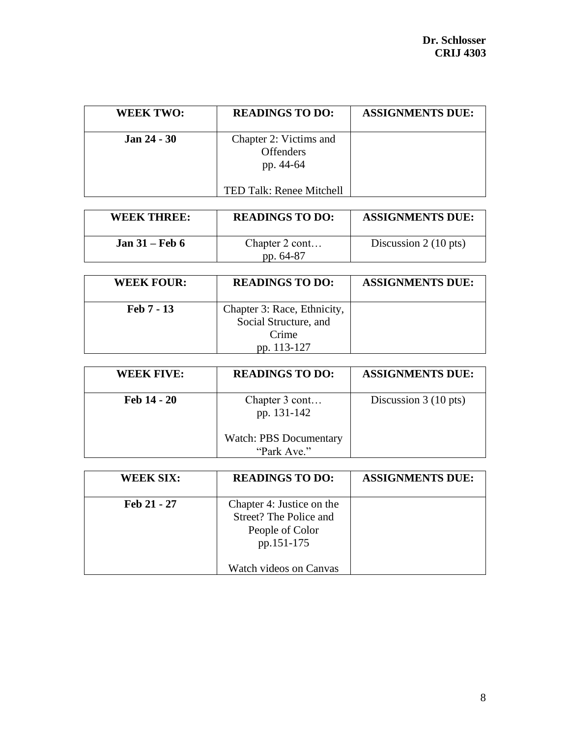| <b>WEEK TWO:</b> | <b>READINGS TO DO:</b>                                  | <b>ASSIGNMENTS DUE:</b> |
|------------------|---------------------------------------------------------|-------------------------|
| $Jan 24 - 30$    | Chapter 2: Victims and<br><b>Offenders</b><br>pp. 44-64 |                         |
|                  | TED Talk: Renee Mitchell                                |                         |

| WEEK THREE:      | <b>READINGS TO DO:</b>      | <b>ASSIGNMENTS DUE:</b>        |
|------------------|-----------------------------|--------------------------------|
| Jan $31$ – Feb 6 | Chapter 2 cont<br>pp. 64-87 | Discussion $2(10 \text{ pts})$ |

| <b>WEEK FOUR:</b> | <b>READINGS TO DO:</b>                                        | <b>ASSIGNMENTS DUE:</b> |
|-------------------|---------------------------------------------------------------|-------------------------|
| Feb 7 - 13        | Chapter 3: Race, Ethnicity,<br>Social Structure, and<br>Crime |                         |
|                   | pp. 113-127                                                   |                         |

| <b>WEEK FIVE:</b> | <b>READINGS TO DO:</b>                                         | <b>ASSIGNMENTS DUE:</b>        |
|-------------------|----------------------------------------------------------------|--------------------------------|
| Feb 14 - 20       | Chapter 3 cont<br>pp. 131-142<br><b>Watch: PBS Documentary</b> | Discussion $3(10 \text{ pts})$ |
|                   | "Park Ave."                                                    |                                |

| <b>WEEK SIX:</b> | <b>READINGS TO DO:</b>                                                                                         | <b>ASSIGNMENTS DUE:</b> |
|------------------|----------------------------------------------------------------------------------------------------------------|-------------------------|
| Feb 21 - 27      | Chapter 4: Justice on the<br>Street? The Police and<br>People of Color<br>pp.151-175<br>Watch videos on Canvas |                         |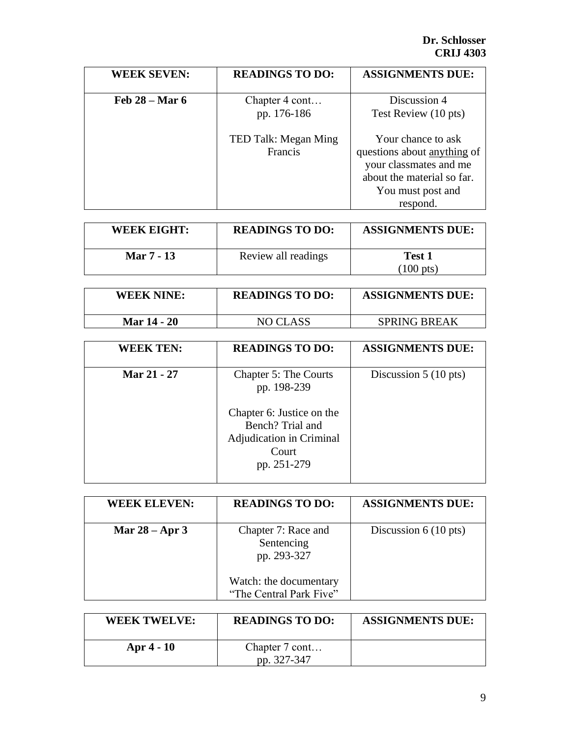| <b>WEEK SEVEN:</b> | <b>READINGS TO DO:</b>          | <b>ASSIGNMENTS DUE:</b>                                                                                                                    |
|--------------------|---------------------------------|--------------------------------------------------------------------------------------------------------------------------------------------|
| Feb $28 - Mar 6$   | Chapter 4 cont<br>pp. 176-186   | Discussion 4<br>Test Review (10 pts)                                                                                                       |
|                    | TED Talk: Megan Ming<br>Francis | Your chance to ask<br>questions about anything of<br>your classmates and me<br>about the material so far.<br>You must post and<br>respond. |

| <b>WEEK EIGHT:</b> | <b>READINGS TO DO:</b> | <b>ASSIGNMENTS DUE:</b>       |
|--------------------|------------------------|-------------------------------|
| Mar 7 - 13         | Review all readings    | Test 1<br>$(100 \text{ pts})$ |

| <b>WEEK NINE:</b>  | <b>READINGS TO DO:</b> | <b>ASSIGNMENTS DUE:</b> |
|--------------------|------------------------|-------------------------|
| <b>Mar 14 - 20</b> | NO CLASS               | <b>SPRING BREAK</b>     |

| <b>WEEK TEN:</b> | <b>READINGS TO DO:</b>                                                                            | <b>ASSIGNMENTS DUE:</b>        |
|------------------|---------------------------------------------------------------------------------------------------|--------------------------------|
| Mar 21 - 27      | Chapter 5: The Courts<br>pp. 198-239                                                              | Discussion $5(10 \text{ pts})$ |
|                  | Chapter 6: Justice on the<br>Bench? Trial and<br>Adjudication in Criminal<br>Court<br>pp. 251-279 |                                |

| <b>WEEK ELEVEN:</b> | <b>READINGS TO DO:</b>                            | <b>ASSIGNMENTS DUE:</b>        |
|---------------------|---------------------------------------------------|--------------------------------|
| Mar $28 -$ Apr 3    | Chapter 7: Race and<br>Sentencing<br>pp. 293-327  | Discussion $6(10 \text{ pts})$ |
|                     | Watch: the documentary<br>"The Central Park Five" |                                |

| <b>WEEK TWELVE:</b> | <b>READINGS TO DO:</b>        | <b>ASSIGNMENTS DUE:</b> |
|---------------------|-------------------------------|-------------------------|
| Apr $4 - 10$        | Chapter 7 cont<br>pp. 327-347 |                         |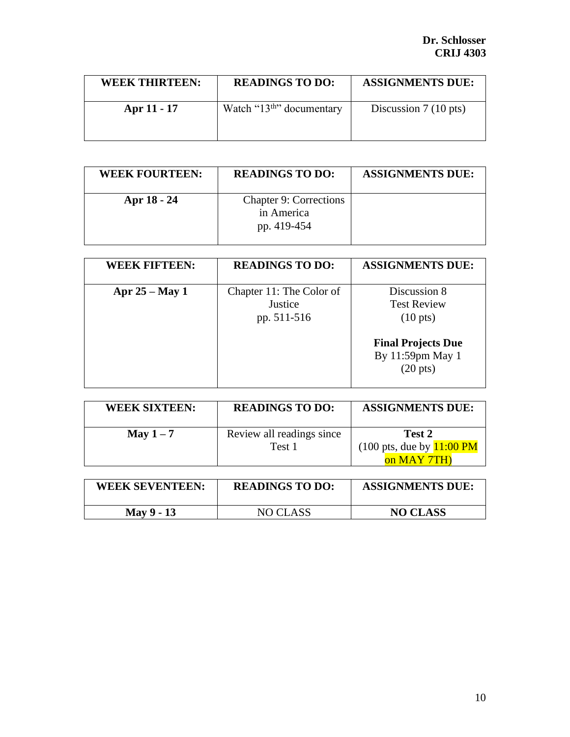| WEEK THIRTEEN: | <b>READINGS TO DO:</b>                 | <b>ASSIGNMENTS DUE:</b>        |
|----------------|----------------------------------------|--------------------------------|
| Apr 11 - 17    | Watch " $13^{\text{th}}$ " documentary | Discussion $7(10 \text{ pts})$ |

| <b>WEEK FOURTEEN:</b> | <b>READINGS TO DO:</b>                                     | <b>ASSIGNMENTS DUE:</b> |
|-----------------------|------------------------------------------------------------|-------------------------|
| Apr 18 - 24           | <b>Chapter 9: Corrections</b><br>in America<br>pp. 419-454 |                         |

| <b>WEEK FIFTEEN:</b> | <b>READINGS TO DO:</b>                             | <b>ASSIGNMENTS DUE:</b>                                                                                                         |
|----------------------|----------------------------------------------------|---------------------------------------------------------------------------------------------------------------------------------|
| Apr $25 - May 1$     | Chapter 11: The Color of<br>Justice<br>pp. 511-516 | Discussion 8<br><b>Test Review</b><br>$(10 \text{ pts})$<br><b>Final Projects Due</b><br>By 11:59pm May 1<br>$(20 \text{ pts})$ |

| <b>WEEK SIXTEEN:</b> | <b>READINGS TO DO:</b>              | <b>ASSIGNMENTS DUE:</b>                                                      |
|----------------------|-------------------------------------|------------------------------------------------------------------------------|
| May $1-7$            | Review all readings since<br>Test 1 | Test 2<br>$(100 \text{ pts}, \text{due by } 11:00 \text{ PM})$<br>on MAY 7TH |

| <b>WEEK SEVENTEEN:</b> | <b>READINGS TO DO:</b> | <b>ASSIGNMENTS DUE:</b> |
|------------------------|------------------------|-------------------------|
| May 9 - 13             | NO CLASS               | <b>NO CLASS</b>         |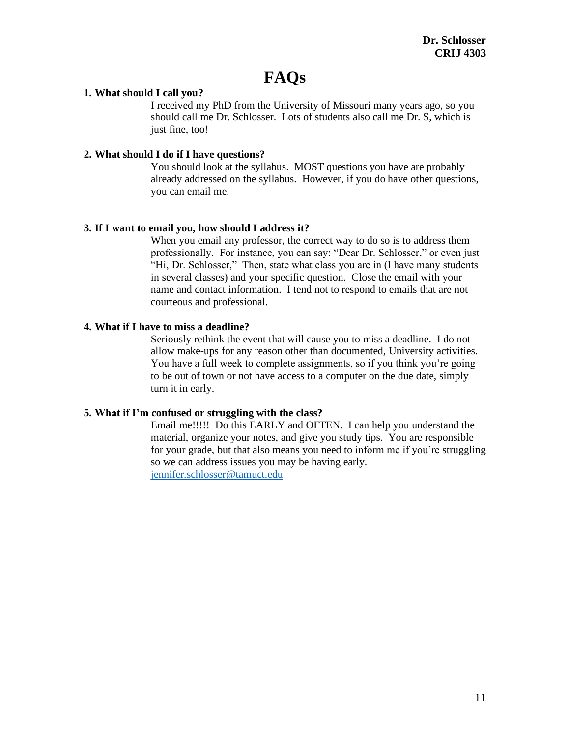# **FAQs**

### **1. What should I call you?**

I received my PhD from the University of Missouri many years ago, so you should call me Dr. Schlosser. Lots of students also call me Dr. S, which is just fine, too!

### **2. What should I do if I have questions?**

You should look at the syllabus. MOST questions you have are probably already addressed on the syllabus. However, if you do have other questions, you can email me.

### **3. If I want to email you, how should I address it?**

When you email any professor, the correct way to do so is to address them professionally. For instance, you can say: "Dear Dr. Schlosser," or even just "Hi, Dr. Schlosser," Then, state what class you are in (I have many students in several classes) and your specific question. Close the email with your name and contact information. I tend not to respond to emails that are not courteous and professional.

### **4. What if I have to miss a deadline?**

Seriously rethink the event that will cause you to miss a deadline. I do not allow make-ups for any reason other than documented, University activities. You have a full week to complete assignments, so if you think you're going to be out of town or not have access to a computer on the due date, simply turn it in early.

### **5. What if I'm confused or struggling with the class?**

Email me!!!!! Do this EARLY and OFTEN. I can help you understand the material, organize your notes, and give you study tips. You are responsible for your grade, but that also means you need to inform me if you're struggling so we can address issues you may be having early. [jennifer.schlosser@tamuct.edu](mailto:Jennifer.schlosser@tamuct.edu)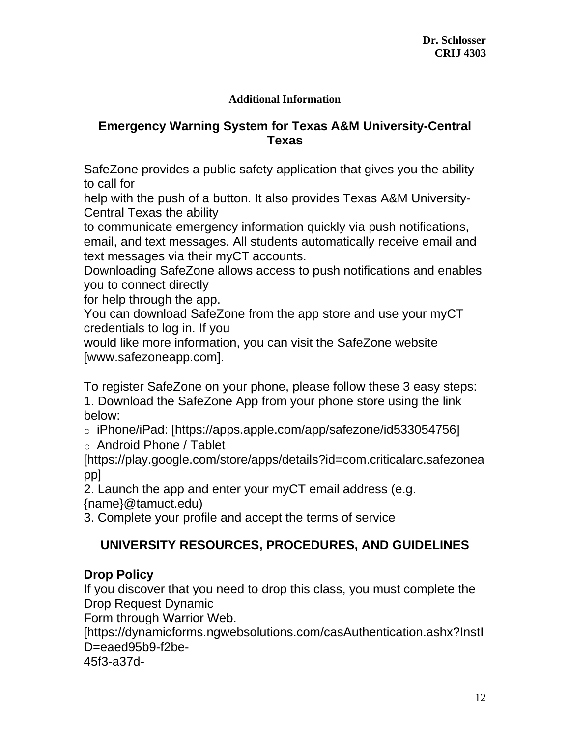### **Additional Information**

## **Emergency Warning System for Texas A&M University-Central Texas**

SafeZone provides a public safety application that gives you the ability to call for

help with the push of a button. It also provides Texas A&M University-Central Texas the ability

to communicate emergency information quickly via push notifications, email, and text messages. All students automatically receive email and text messages via their myCT accounts.

Downloading SafeZone allows access to push notifications and enables you to connect directly

for help through the app.

You can download SafeZone from the app store and use your myCT credentials to log in. If you

would like more information, you can visit the SafeZone website [www.safezoneapp.com].

To register SafeZone on your phone, please follow these 3 easy steps: 1. Download the SafeZone App from your phone store using the link below:

o iPhone/iPad: [https://apps.apple.com/app/safezone/id533054756]

o Android Phone / Tablet

[https://play.google.com/store/apps/details?id=com.criticalarc.safezonea pp]

2. Launch the app and enter your myCT email address (e.g. {name}@tamuct.edu)

3. Complete your profile and accept the terms of service

## **UNIVERSITY RESOURCES, PROCEDURES, AND GUIDELINES**

## **Drop Policy**

If you discover that you need to drop this class, you must complete the Drop Request Dynamic

Form through Warrior Web.

[https://dynamicforms.ngwebsolutions.com/casAuthentication.ashx?InstI D=eaed95b9-f2be-

45f3-a37d-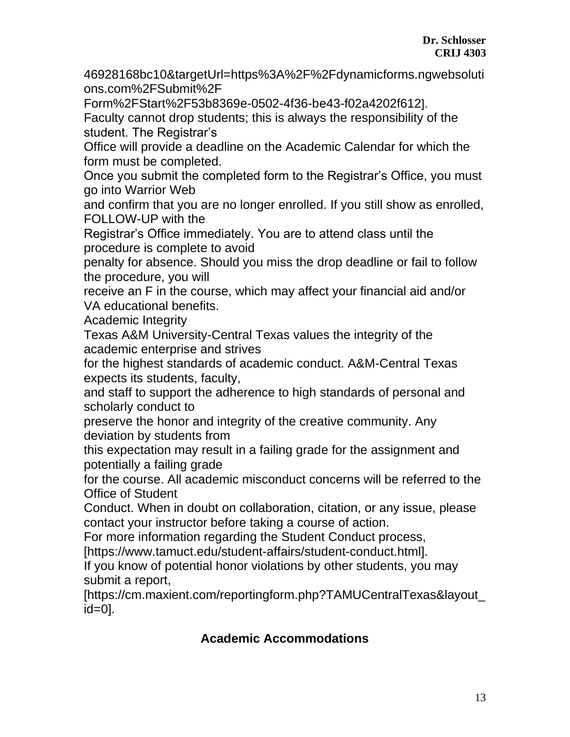46928168bc10&targetUrl=https%3A%2F%2Fdynamicforms.ngwebsoluti ons.com%2FSubmit%2F

Form%2FStart%2F53b8369e-0502-4f36-be43-f02a4202f612].

Faculty cannot drop students; this is always the responsibility of the student. The Registrar's

Office will provide a deadline on the Academic Calendar for which the form must be completed.

Once you submit the completed form to the Registrar's Office, you must go into Warrior Web

and confirm that you are no longer enrolled. If you still show as enrolled, FOLLOW-UP with the

Registrar's Office immediately. You are to attend class until the procedure is complete to avoid

penalty for absence. Should you miss the drop deadline or fail to follow the procedure, you will

receive an F in the course, which may affect your financial aid and/or VA educational benefits.

Academic Integrity

Texas A&M University-Central Texas values the integrity of the academic enterprise and strives

for the highest standards of academic conduct. A&M-Central Texas expects its students, faculty,

and staff to support the adherence to high standards of personal and scholarly conduct to

preserve the honor and integrity of the creative community. Any deviation by students from

this expectation may result in a failing grade for the assignment and potentially a failing grade

for the course. All academic misconduct concerns will be referred to the Office of Student

Conduct. When in doubt on collaboration, citation, or any issue, please contact your instructor before taking a course of action.

For more information regarding the Student Conduct process,

[https://www.tamuct.edu/student-affairs/student-conduct.html].

If you know of potential honor violations by other students, you may submit a report,

[https://cm.maxient.com/reportingform.php?TAMUCentralTexas&layout\_ id=0].

## **Academic Accommodations**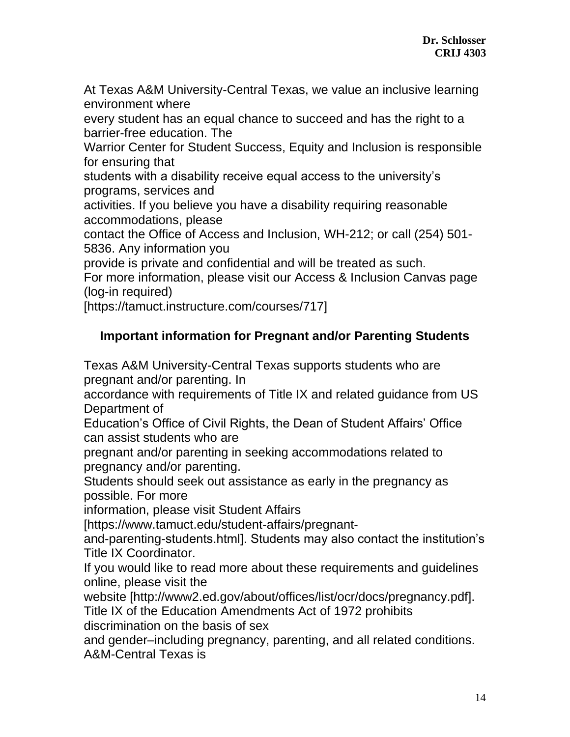At Texas A&M University-Central Texas, we value an inclusive learning environment where

every student has an equal chance to succeed and has the right to a barrier-free education. The

Warrior Center for Student Success, Equity and Inclusion is responsible for ensuring that

students with a disability receive equal access to the university's programs, services and

activities. If you believe you have a disability requiring reasonable accommodations, please

contact the Office of Access and Inclusion, WH-212; or call (254) 501- 5836. Any information you

provide is private and confidential and will be treated as such.

For more information, please visit our Access & Inclusion Canvas page (log-in required)

[https://tamuct.instructure.com/courses/717]

## **Important information for Pregnant and/or Parenting Students**

Texas A&M University-Central Texas supports students who are pregnant and/or parenting. In

accordance with requirements of Title IX and related guidance from US Department of

Education's Office of Civil Rights, the Dean of Student Affairs' Office can assist students who are

pregnant and/or parenting in seeking accommodations related to pregnancy and/or parenting.

Students should seek out assistance as early in the pregnancy as possible. For more

information, please visit Student Affairs

[https://www.tamuct.edu/student-affairs/pregnant-

and-parenting-students.html]. Students may also contact the institution's Title IX Coordinator.

If you would like to read more about these requirements and guidelines online, please visit the

website [http://www2.ed.gov/about/offices/list/ocr/docs/pregnancy.pdf]. Title IX of the Education Amendments Act of 1972 prohibits

discrimination on the basis of sex

and gender–including pregnancy, parenting, and all related conditions. A&M-Central Texas is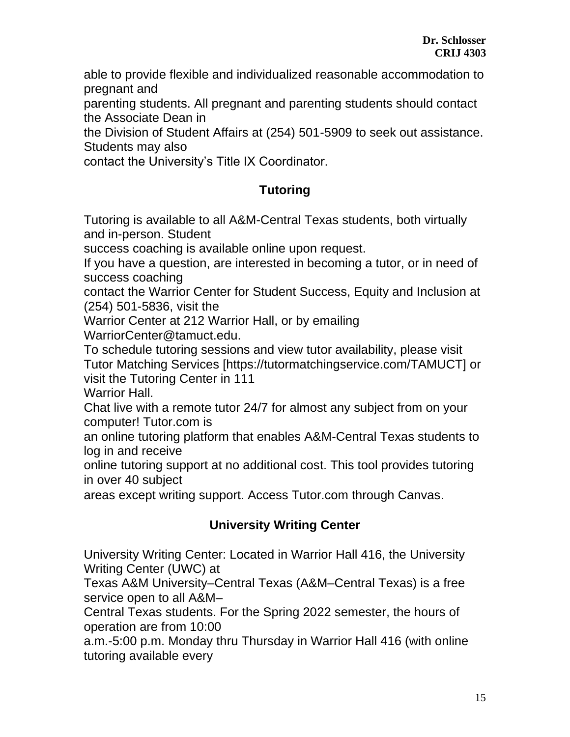able to provide flexible and individualized reasonable accommodation to pregnant and

parenting students. All pregnant and parenting students should contact the Associate Dean in

the Division of Student Affairs at (254) 501-5909 to seek out assistance. Students may also

contact the University's Title IX Coordinator.

# **Tutoring**

Tutoring is available to all A&M-Central Texas students, both virtually and in-person. Student

success coaching is available online upon request.

If you have a question, are interested in becoming a tutor, or in need of success coaching

contact the Warrior Center for Student Success, Equity and Inclusion at (254) 501-5836, visit the

Warrior Center at 212 Warrior Hall, or by emailing WarriorCenter@tamuct.edu.

To schedule tutoring sessions and view tutor availability, please visit Tutor Matching Services [https://tutormatchingservice.com/TAMUCT] or visit the Tutoring Center in 111

Warrior Hall.

Chat live with a remote tutor 24/7 for almost any subject from on your computer! Tutor.com is

an online tutoring platform that enables A&M-Central Texas students to log in and receive

online tutoring support at no additional cost. This tool provides tutoring in over 40 subject

areas except writing support. Access Tutor.com through Canvas.

# **University Writing Center**

University Writing Center: Located in Warrior Hall 416, the University Writing Center (UWC) at

Texas A&M University–Central Texas (A&M–Central Texas) is a free service open to all A&M–

Central Texas students. For the Spring 2022 semester, the hours of operation are from 10:00

a.m.-5:00 p.m. Monday thru Thursday in Warrior Hall 416 (with online tutoring available every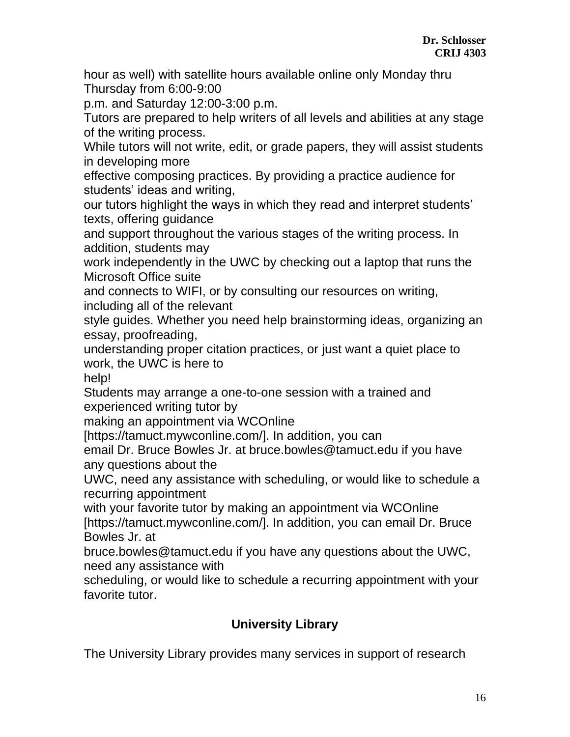hour as well) with satellite hours available online only Monday thru Thursday from 6:00-9:00

p.m. and Saturday 12:00-3:00 p.m.

Tutors are prepared to help writers of all levels and abilities at any stage of the writing process.

While tutors will not write, edit, or grade papers, they will assist students in developing more

effective composing practices. By providing a practice audience for students' ideas and writing,

our tutors highlight the ways in which they read and interpret students' texts, offering guidance

and support throughout the various stages of the writing process. In addition, students may

work independently in the UWC by checking out a laptop that runs the Microsoft Office suite

and connects to WIFI, or by consulting our resources on writing, including all of the relevant

style guides. Whether you need help brainstorming ideas, organizing an essay, proofreading,

understanding proper citation practices, or just want a quiet place to work, the UWC is here to

help!

Students may arrange a one-to-one session with a trained and experienced writing tutor by

making an appointment via WCOnline

[https://tamuct.mywconline.com/]. In addition, you can

email Dr. Bruce Bowles Jr. at bruce.bowles@tamuct.edu if you have any questions about the

UWC, need any assistance with scheduling, or would like to schedule a recurring appointment

with your favorite tutor by making an appointment via WCOnline [https://tamuct.mywconline.com/]. In addition, you can email Dr. Bruce Bowles Jr. at

bruce.bowles@tamuct.edu if you have any questions about the UWC, need any assistance with

scheduling, or would like to schedule a recurring appointment with your favorite tutor.

## **University Library**

The University Library provides many services in support of research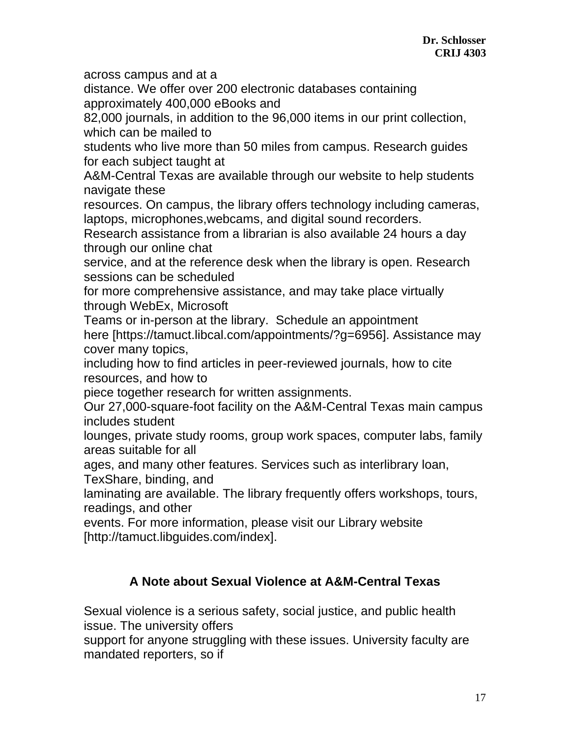across campus and at a

distance. We offer over 200 electronic databases containing approximately 400,000 eBooks and

82,000 journals, in addition to the 96,000 items in our print collection, which can be mailed to

students who live more than 50 miles from campus. Research guides for each subject taught at

A&M-Central Texas are available through our website to help students navigate these

resources. On campus, the library offers technology including cameras, laptops, microphones,webcams, and digital sound recorders.

Research assistance from a librarian is also available 24 hours a day through our online chat

service, and at the reference desk when the library is open. Research sessions can be scheduled

for more comprehensive assistance, and may take place virtually through WebEx, Microsoft

Teams or in-person at the library. Schedule an appointment here [https://tamuct.libcal.com/appointments/?g=6956]. Assistance may cover many topics,

including how to find articles in peer-reviewed journals, how to cite resources, and how to

piece together research for written assignments.

Our 27,000-square-foot facility on the A&M-Central Texas main campus includes student

lounges, private study rooms, group work spaces, computer labs, family areas suitable for all

ages, and many other features. Services such as interlibrary loan,

TexShare, binding, and

laminating are available. The library frequently offers workshops, tours, readings, and other

events. For more information, please visit our Library website [http://tamuct.libguides.com/index].

## **A Note about Sexual Violence at A&M-Central Texas**

Sexual violence is a serious safety, social justice, and public health issue. The university offers

support for anyone struggling with these issues. University faculty are mandated reporters, so if